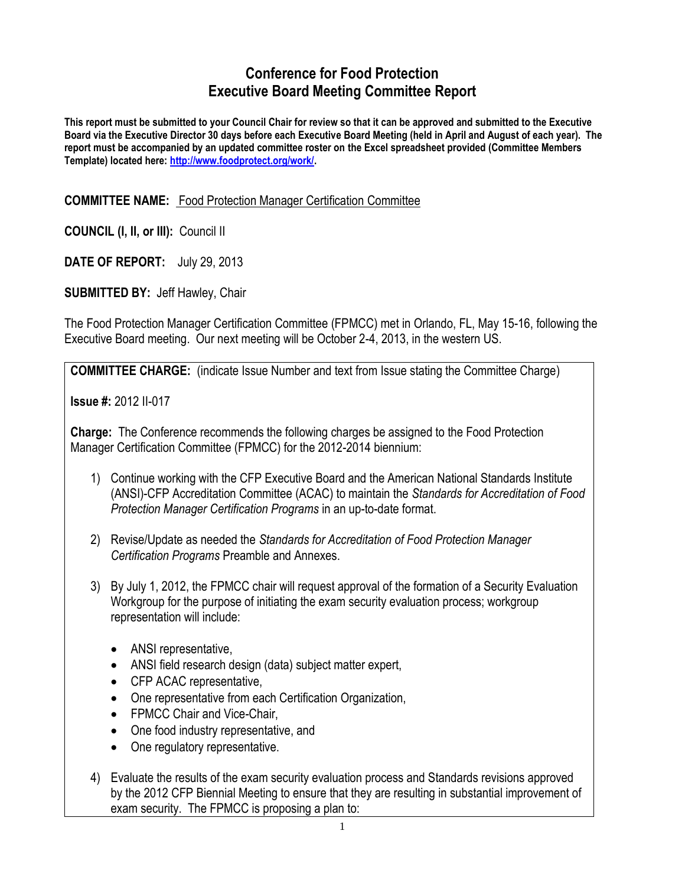# **Conference for Food Protection Executive Board Meeting Committee Report**

**This report must be submitted to your Council Chair for review so that it can be approved and submitted to the Executive Board via the Executive Director 30 days before each Executive Board Meeting (held in April and August of each year). The report must be accompanied by an updated committee roster on the Excel spreadsheet provided (Committee Members Template) located here: [http://www.foodprotect.org/work/.](http://www.foodprotect.org/work/)**

#### **COMMITTEE NAME:** Food Protection Manager Certification Committee

**COUNCIL (I, II, or III):** Council II

**DATE OF REPORT:** July 29, 2013

**SUBMITTED BY:** Jeff Hawley, Chair

The Food Protection Manager Certification Committee (FPMCC) met in Orlando, FL, May 15-16, following the Executive Board meeting. Our next meeting will be October 2-4, 2013, in the western US.

**COMMITTEE CHARGE:** (indicate Issue Number and text from Issue stating the Committee Charge)

**Issue #:** 2012 II-017

**Charge:** The Conference recommends the following charges be assigned to the Food Protection Manager Certification Committee (FPMCC) for the 2012-2014 biennium:

- 1) Continue working with the CFP Executive Board and the American National Standards Institute (ANSI)-CFP Accreditation Committee (ACAC) to maintain the *Standards for Accreditation of Food Protection Manager Certification Programs* in an up-to-date format.
- 2) Revise/Update as needed the *Standards for Accreditation of Food Protection Manager Certification Programs* Preamble and Annexes.
- 3) By July 1, 2012, the FPMCC chair will request approval of the formation of a Security Evaluation Workgroup for the purpose of initiating the exam security evaluation process; workgroup representation will include:
	- ANSI representative,
	- ANSI field research design (data) subject matter expert,
	- CFP ACAC representative,
	- One representative from each Certification Organization,
	- FPMCC Chair and Vice-Chair,
	- One food industry representative, and
	- One regulatory representative.
- 4) Evaluate the results of the exam security evaluation process and Standards revisions approved by the 2012 CFP Biennial Meeting to ensure that they are resulting in substantial improvement of exam security. The FPMCC is proposing a plan to: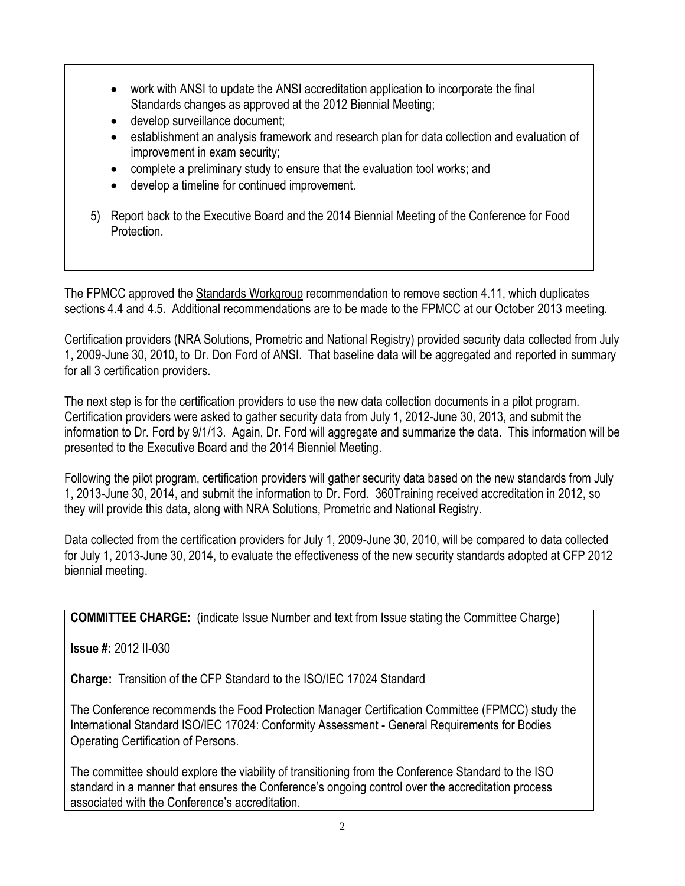- work with ANSI to update the ANSI accreditation application to incorporate the final Standards changes as approved at the 2012 Biennial Meeting;
- **e** develop surveillance document;
- establishment an analysis framework and research plan for data collection and evaluation of improvement in exam security;
- complete a preliminary study to ensure that the evaluation tool works; and
- develop a timeline for continued improvement.
- 5) Report back to the Executive Board and the 2014 Biennial Meeting of the Conference for Food Protection.

The FPMCC approved the Standards Workgroup recommendation to remove section 4.11, which duplicates sections 4.4 and 4.5. Additional recommendations are to be made to the FPMCC at our October 2013 meeting.

Certification providers (NRA Solutions, Prometric and National Registry) provided security data collected from July 1, 2009-June 30, 2010, to Dr. Don Ford of ANSI. That baseline data will be aggregated and reported in summary for all 3 certification providers.

The next step is for the certification providers to use the new data collection documents in a pilot program. Certification providers were asked to gather security data from July 1, 2012-June 30, 2013, and submit the information to Dr. Ford by 9/1/13. Again, Dr. Ford will aggregate and summarize the data. This information will be presented to the Executive Board and the 2014 Bienniel Meeting.

Following the pilot program, certification providers will gather security data based on the new standards from July 1, 2013-June 30, 2014, and submit the information to Dr. Ford. 360Training received accreditation in 2012, so they will provide this data, along with NRA Solutions, Prometric and National Registry.

Data collected from the certification providers for July 1, 2009-June 30, 2010, will be compared to data collected for July 1, 2013-June 30, 2014, to evaluate the effectiveness of the new security standards adopted at CFP 2012 biennial meeting.

**COMMITTEE CHARGE:** (indicate Issue Number and text from Issue stating the Committee Charge)

**Issue #:** 2012 II-030

**Charge:** Transition of the CFP Standard to the ISO/IEC 17024 Standard

The Conference recommends the Food Protection Manager Certification Committee (FPMCC) study the International Standard ISO/IEC 17024: Conformity Assessment - General Requirements for Bodies Operating Certification of Persons.

The committee should explore the viability of transitioning from the Conference Standard to the ISO standard in a manner that ensures the Conference's ongoing control over the accreditation process associated with the Conference's accreditation.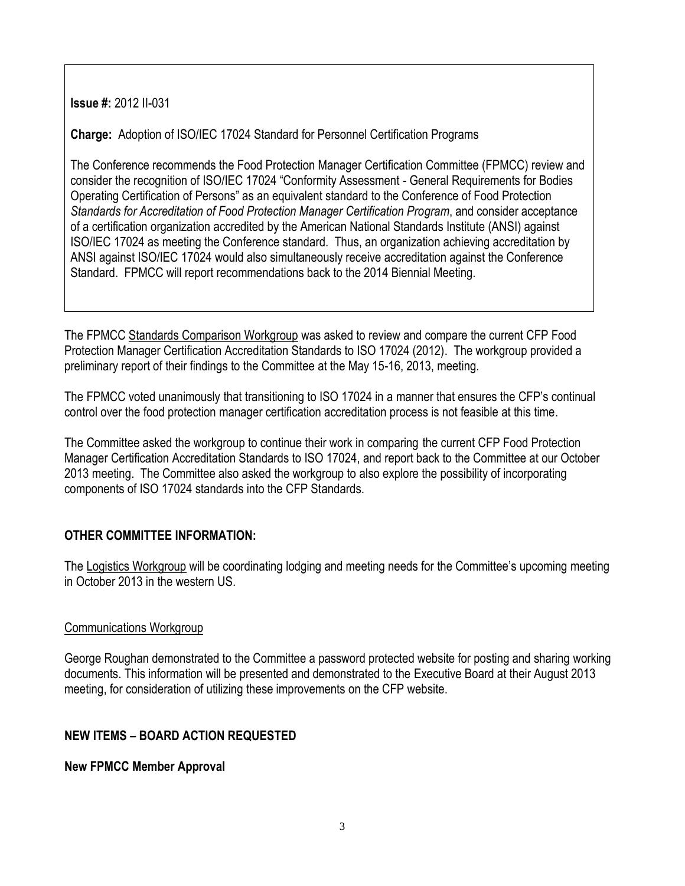**Issue #:** 2012 II-031

**Charge:** Adoption of ISO/IEC 17024 Standard for Personnel Certification Programs

The Conference recommends the Food Protection Manager Certification Committee (FPMCC) review and consider the recognition of ISO/IEC 17024 "Conformity Assessment - General Requirements for Bodies Operating Certification of Persons" as an equivalent standard to the Conference of Food Protection *Standards for Accreditation of Food Protection Manager Certification Program*, and consider acceptance of a certification organization accredited by the American National Standards Institute (ANSI) against ISO/IEC 17024 as meeting the Conference standard. Thus, an organization achieving accreditation by ANSI against ISO/IEC 17024 would also simultaneously receive accreditation against the Conference Standard. FPMCC will report recommendations back to the 2014 Biennial Meeting.

The FPMCC Standards Comparison Workgroup was asked to review and compare the current CFP Food Protection Manager Certification Accreditation Standards to ISO 17024 (2012). The workgroup provided a preliminary report of their findings to the Committee at the May 15-16, 2013, meeting.

The FPMCC voted unanimously that transitioning to ISO 17024 in a manner that ensures the CFP's continual control over the food protection manager certification accreditation process is not feasible at this time.

The Committee asked the workgroup to continue their work in comparing the current CFP Food Protection Manager Certification Accreditation Standards to ISO 17024, and report back to the Committee at our October 2013 meeting. The Committee also asked the workgroup to also explore the possibility of incorporating components of ISO 17024 standards into the CFP Standards.

## **OTHER COMMITTEE INFORMATION:**

The Logistics Workgroup will be coordinating lodging and meeting needs for the Committee's upcoming meeting in October 2013 in the western US.

### Communications Workgroup

George Roughan demonstrated to the Committee a password protected website for posting and sharing working documents. This information will be presented and demonstrated to the Executive Board at their August 2013 meeting, for consideration of utilizing these improvements on the CFP website.

## **NEW ITEMS – BOARD ACTION REQUESTED**

## **New FPMCC Member Approval**